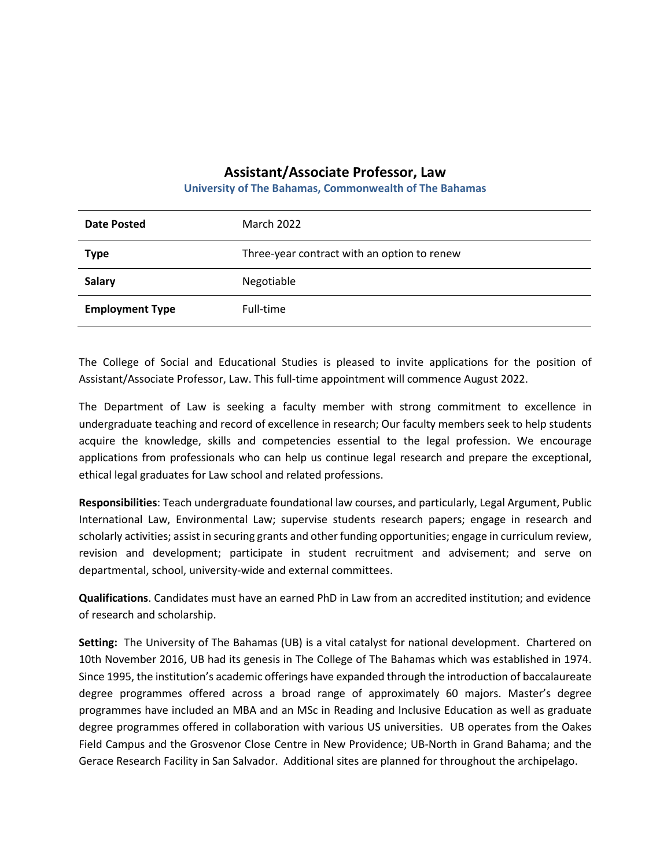## **Assistant/Associate Professor, Law**

**University of The Bahamas, Commonwealth of The Bahamas**

| Date Posted            | <b>March 2022</b>                           |
|------------------------|---------------------------------------------|
| <b>Type</b>            | Three-year contract with an option to renew |
| <b>Salary</b>          | Negotiable                                  |
| <b>Employment Type</b> | Full-time                                   |

The College of Social and Educational Studies is pleased to invite applications for the position of Assistant/Associate Professor, Law. This full-time appointment will commence August 2022.

The Department of Law is seeking a faculty member with strong commitment to excellence in undergraduate teaching and record of excellence in research; Our faculty members seek to help students acquire the knowledge, skills and competencies essential to the legal profession. We encourage applications from professionals who can help us continue legal research and prepare the exceptional, ethical legal graduates for Law school and related professions.

**Responsibilities**: Teach undergraduate foundational law courses, and particularly, Legal Argument, Public International Law, Environmental Law; supervise students research papers; engage in research and scholarly activities; assist in securing grants and other funding opportunities; engage in curriculum review, revision and development; participate in student recruitment and advisement; and serve on departmental, school, university-wide and external committees.

**Qualifications**. Candidates must have an earned PhD in Law from an accredited institution; and evidence of research and scholarship.

**Setting:** The University of The Bahamas (UB) is a vital catalyst for national development. Chartered on 10th November 2016, UB had its genesis in The College of The Bahamas which was established in 1974. Since 1995, the institution's academic offerings have expanded through the introduction of baccalaureate degree programmes offered across a broad range of approximately 60 majors. Master's degree programmes have included an MBA and an MSc in Reading and Inclusive Education as well as graduate degree programmes offered in collaboration with various US universities. UB operates from the Oakes Field Campus and the Grosvenor Close Centre in New Providence; UB-North in Grand Bahama; and the Gerace Research Facility in San Salvador. Additional sites are planned for throughout the archipelago.